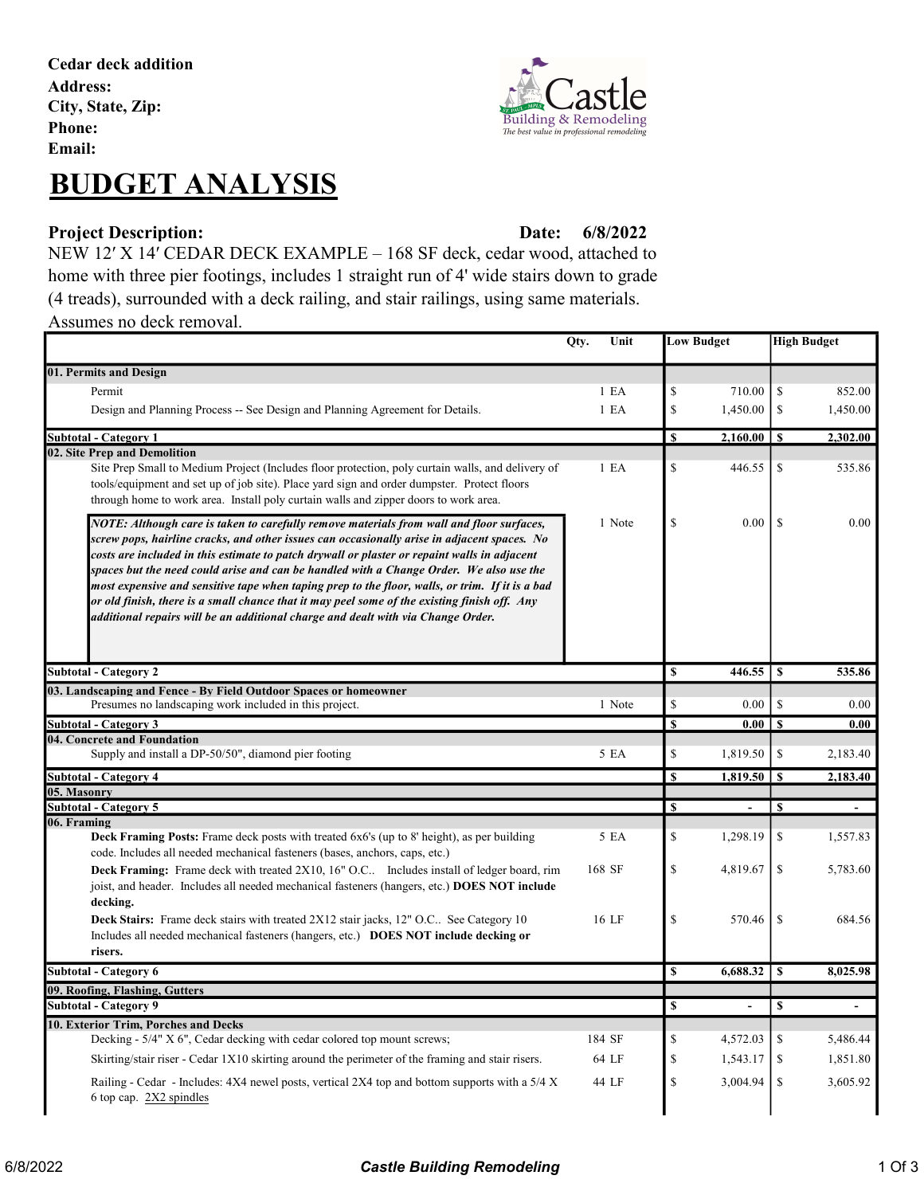Cedar deck addition Address: City, State, Zip: Phone: Email:





### Project Description: Date:

6/8/2022

NEW 12′ X 14′ CEDAR DECK EXAMPLE – 168 SF deck, cedar wood, attached to home with three pier footings, includes 1 straight run of 4' wide stairs down to grade (4 treads), surrounded with a deck railing, and stair railings, using same materials. Assumes no deck removal.

|                                                                                                                                                                                                                                                                                                                                                                                                                                                                                                                                                                                                                                                                           | Qty. | Unit             | <b>Low Budget</b>       |                          | <b>High Budget</b> |                |
|---------------------------------------------------------------------------------------------------------------------------------------------------------------------------------------------------------------------------------------------------------------------------------------------------------------------------------------------------------------------------------------------------------------------------------------------------------------------------------------------------------------------------------------------------------------------------------------------------------------------------------------------------------------------------|------|------------------|-------------------------|--------------------------|--------------------|----------------|
| 01. Permits and Design                                                                                                                                                                                                                                                                                                                                                                                                                                                                                                                                                                                                                                                    |      |                  |                         |                          |                    |                |
| Permit                                                                                                                                                                                                                                                                                                                                                                                                                                                                                                                                                                                                                                                                    |      | 1 E A            | \$                      | 710.00                   | \$                 | 852.00         |
| Design and Planning Process -- See Design and Planning Agreement for Details.                                                                                                                                                                                                                                                                                                                                                                                                                                                                                                                                                                                             |      | 1 E <sub>A</sub> | \$                      | 1,450.00                 | \$                 | 1,450.00       |
| <b>Subtotal - Category 1</b>                                                                                                                                                                                                                                                                                                                                                                                                                                                                                                                                                                                                                                              |      |                  | \$                      | $2,160.00$   \$          |                    | 2,302.00       |
| 02. Site Prep and Demolition                                                                                                                                                                                                                                                                                                                                                                                                                                                                                                                                                                                                                                              |      |                  |                         |                          |                    |                |
| Site Prep Small to Medium Project (Includes floor protection, poly curtain walls, and delivery of<br>tools/equipment and set up of job site). Place yard sign and order dumpster. Protect floors<br>through home to work area. Install poly curtain walls and zipper doors to work area.                                                                                                                                                                                                                                                                                                                                                                                  |      | 1 E <sub>A</sub> | \$                      | 446.55                   | \$                 | 535.86         |
| NOTE: Although care is taken to carefully remove materials from wall and floor surfaces,<br>screw pops, hairline cracks, and other issues can occasionally arise in adjacent spaces. No<br>costs are included in this estimate to patch drywall or plaster or repaint walls in adjacent<br>spaces but the need could arise and can be handled with a Change Order. We also use the<br>most expensive and sensitive tape when taping prep to the floor, walls, or trim. If it is a bad<br>or old finish, there is a small chance that it may peel some of the existing finish off. Any<br>additional repairs will be an additional charge and dealt with via Change Order. |      | 1 Note           | \$                      | 0.00                     | <sup>\$</sup>      | 0.00           |
| <b>Subtotal - Category 2</b>                                                                                                                                                                                                                                                                                                                                                                                                                                                                                                                                                                                                                                              |      |                  | \$                      | 446.55                   | S                  | 535.86         |
| 03. Landscaping and Fence - By Field Outdoor Spaces or homeowner                                                                                                                                                                                                                                                                                                                                                                                                                                                                                                                                                                                                          |      |                  |                         |                          |                    |                |
| Presumes no landscaping work included in this project.                                                                                                                                                                                                                                                                                                                                                                                                                                                                                                                                                                                                                    |      | 1 Note           | \$                      | 0.00                     | \$                 | 0.00           |
| <b>Subtotal - Category 3</b><br>04. Concrete and Foundation                                                                                                                                                                                                                                                                                                                                                                                                                                                                                                                                                                                                               |      |                  | <b>S</b>                | $0.00 \mid S$            |                    | 0.00           |
| Supply and install a DP-50/50", diamond pier footing                                                                                                                                                                                                                                                                                                                                                                                                                                                                                                                                                                                                                      |      | 5 EA             | \$                      | 1,819.50                 | \$                 | 2,183.40       |
| <b>Subtotal - Category 4</b>                                                                                                                                                                                                                                                                                                                                                                                                                                                                                                                                                                                                                                              |      |                  | \$                      | 1,819.50                 | $\mathbf{s}$       | 2,183.40       |
| 05. Masonry                                                                                                                                                                                                                                                                                                                                                                                                                                                                                                                                                                                                                                                               |      |                  |                         |                          |                    |                |
| Subtotal - Category 5<br>06. Framing                                                                                                                                                                                                                                                                                                                                                                                                                                                                                                                                                                                                                                      |      |                  | S                       |                          | S                  |                |
| <b>Deck Framing Posts:</b> Frame deck posts with treated 6x6's (up to 8' height), as per building<br>code. Includes all needed mechanical fasteners (bases, anchors, caps, etc.)                                                                                                                                                                                                                                                                                                                                                                                                                                                                                          |      | 5 EA             | \$                      | 1,298.19                 | \$                 | 1,557.83       |
| <b>Deck Framing:</b> Frame deck with treated 2X10, 16" O.C Includes install of ledger board, rim<br>joist, and header. Includes all needed mechanical fasteners (hangers, etc.) DOES NOT include<br>decking.                                                                                                                                                                                                                                                                                                                                                                                                                                                              |      | 168 SF           | \$                      | 4,819.67                 | \$                 | 5,783.60       |
| Deck Stairs: Frame deck stairs with treated 2X12 stair jacks, 12" O.C See Category 10<br>Includes all needed mechanical fasteners (hangers, etc.) DOES NOT include decking or<br>risers.                                                                                                                                                                                                                                                                                                                                                                                                                                                                                  |      | 16 LF            | \$                      | 570.46                   | \$                 | 684.56         |
| Subtotal - Category 6                                                                                                                                                                                                                                                                                                                                                                                                                                                                                                                                                                                                                                                     |      |                  | $\overline{\mathbf{s}}$ | 6,688.32                 | $\mathbf{s}$       | 8,025.98       |
| 09. Roofing, Flashing, Gutters                                                                                                                                                                                                                                                                                                                                                                                                                                                                                                                                                                                                                                            |      |                  |                         |                          |                    |                |
| Subtotal - Category 9                                                                                                                                                                                                                                                                                                                                                                                                                                                                                                                                                                                                                                                     |      |                  | \$                      | $\overline{\phantom{a}}$ | \$                 | $\blacksquare$ |
| 10. Exterior Trim, Porches and Decks<br>Decking - 5/4" X 6", Cedar decking with cedar colored top mount screws;                                                                                                                                                                                                                                                                                                                                                                                                                                                                                                                                                           |      | 184 SF           | \$                      | 4,572.03                 | \$                 | 5,486.44       |
| Skirting/stair riser - Cedar 1X10 skirting around the perimeter of the framing and stair risers.                                                                                                                                                                                                                                                                                                                                                                                                                                                                                                                                                                          |      | 64 LF            | \$                      | 1,543.17                 | \$                 | 1,851.80       |
| Railing - Cedar - Includes: 4X4 newel posts, vertical 2X4 top and bottom supports with a 5/4 X<br>6 top cap. 2X2 spindles                                                                                                                                                                                                                                                                                                                                                                                                                                                                                                                                                 |      | 44 LF            | \$                      | 3,004.94                 | \$                 | 3,605.92       |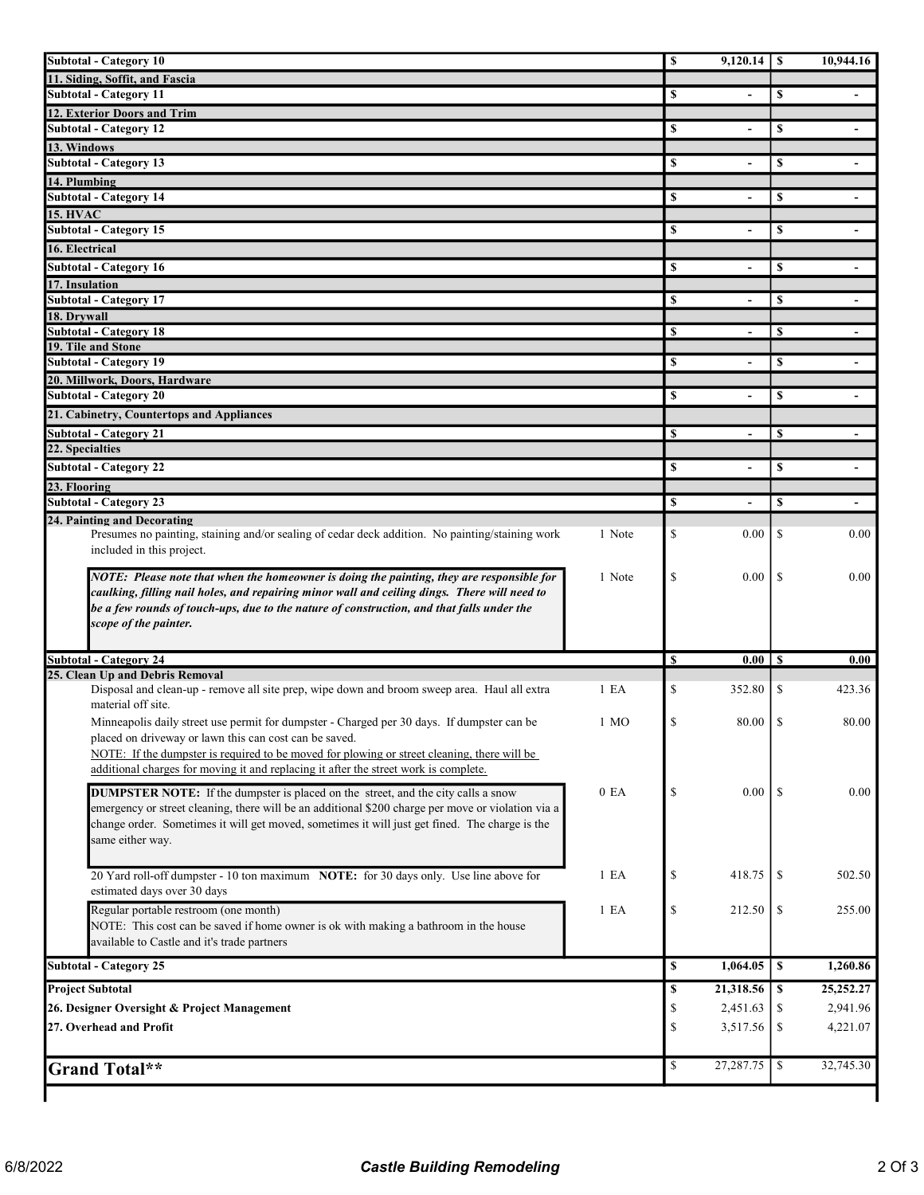| <b>Subtotal - Category 10</b>                                                                      |        | $\mathbb S$ | $9,120.14$   \$          |               | 10,944.16                         |
|----------------------------------------------------------------------------------------------------|--------|-------------|--------------------------|---------------|-----------------------------------|
| 11. Siding, Soffit, and Fascia                                                                     |        |             |                          |               |                                   |
| <b>Subtotal - Category 11</b>                                                                      |        | \$          | $\overline{\phantom{0}}$ | \$            |                                   |
| 12. Exterior Doors and Trim                                                                        |        |             |                          |               |                                   |
| <b>Subtotal - Category 12</b>                                                                      |        | \$          | $\blacksquare$           | \$            | $\overline{\phantom{a}}$          |
| 13. Windows                                                                                        |        |             |                          |               |                                   |
| <b>Subtotal - Category 13</b>                                                                      |        | \$          | $\overline{\phantom{0}}$ | \$            |                                   |
| 14. Plumbing                                                                                       |        |             |                          |               |                                   |
| <b>Subtotal - Category 14</b>                                                                      |        | \$          | $\blacksquare$           | \$            |                                   |
| <b>15. HVAC</b>                                                                                    |        |             |                          |               |                                   |
| Subtotal - Category 15                                                                             |        | \$          |                          | \$            |                                   |
| 16. Electrical                                                                                     |        |             |                          |               |                                   |
| <b>Subtotal - Category 16</b>                                                                      |        | S           |                          | \$            |                                   |
| 17. Insulation                                                                                     |        |             |                          |               |                                   |
| <b>Subtotal - Category 17</b>                                                                      |        | \$          | $\overline{\phantom{a}}$ | \$            | $\blacksquare$                    |
| 18. Drywall                                                                                        |        |             |                          |               |                                   |
| <b>Subtotal - Category 18</b>                                                                      |        | \$          |                          | <sup>\$</sup> |                                   |
| 19. Tile and Stone                                                                                 |        |             |                          |               |                                   |
| <b>Subtotal - Category 19</b>                                                                      |        | \$          | $\blacksquare$           | \$            | $\overline{\phantom{a}}$          |
| 20. Millwork, Doors, Hardware<br><b>Subtotal - Category 20</b>                                     |        |             |                          |               |                                   |
|                                                                                                    |        | \$          | $\blacksquare$           | \$            | $\overline{\phantom{a}}$          |
| 21. Cabinetry, Countertops and Appliances                                                          |        |             |                          |               |                                   |
| <b>Subtotal - Category 21</b>                                                                      |        | \$          | -                        | S             |                                   |
| 22. Specialties                                                                                    |        |             |                          |               |                                   |
| <b>Subtotal - Category 22</b>                                                                      |        | \$          |                          | \$            |                                   |
| 23. Flooring                                                                                       |        |             |                          |               |                                   |
| <b>Subtotal - Category 23</b>                                                                      |        | \$          |                          | \$            |                                   |
| 24. Painting and Decorating                                                                        |        |             |                          |               |                                   |
| Presumes no painting, staining and/or sealing of cedar deck addition. No painting/staining work    | 1 Note | \$          | 0.00                     | \$            | 0.00                              |
| included in this project.                                                                          |        |             |                          |               |                                   |
| NOTE: Please note that when the homeowner is doing the painting, they are responsible for          | 1 Note | \$          | 0.00                     | \$            | 0.00                              |
| caulking, filling nail holes, and repairing minor wall and ceiling dings. There will need to       |        |             |                          |               |                                   |
| be a few rounds of touch-ups, due to the nature of construction, and that falls under the          |        |             |                          |               |                                   |
| scope of the painter.                                                                              |        |             |                          |               |                                   |
|                                                                                                    |        |             |                          |               |                                   |
| <b>Subtotal - Category 24</b>                                                                      |        |             |                          |               |                                   |
| 25. Clean Up and Debris Removal                                                                    |        | \$          | $0.00$ S                 |               | 0.00                              |
|                                                                                                    |        |             |                          |               |                                   |
| Disposal and clean-up - remove all site prep, wipe down and broom sweep area. Haul all extra       | 1 E A  | \$          | 352.80                   | \$            | 423.36                            |
| material off site.                                                                                 |        |             |                          |               |                                   |
| Minneapolis daily street use permit for dumpster - Charged per 30 days. If dumpster can be         | 1 MO   | \$          | 80.00                    | <sup>\$</sup> | 80.00                             |
| placed on driveway or lawn this can cost can be saved.                                             |        |             |                          |               |                                   |
| NOTE: If the dumpster is required to be moved for plowing or street cleaning, there will be        |        |             |                          |               |                                   |
| additional charges for moving it and replacing it after the street work is complete.               |        |             |                          |               |                                   |
| <b>DUMPSTER NOTE:</b> If the dumpster is placed on the street, and the city calls a snow           | 0 EA   | \$          | 0.00                     | <sup>\$</sup> |                                   |
| emergency or street cleaning, there will be an additional \$200 charge per move or violation via a |        |             |                          |               | 0.00                              |
| change order. Sometimes it will get moved, sometimes it will just get fined. The charge is the     |        |             |                          |               |                                   |
| same either way.                                                                                   |        |             |                          |               |                                   |
|                                                                                                    |        |             |                          |               |                                   |
| 20 Yard roll-off dumpster - 10 ton maximum NOTE: for 30 days only. Use line above for              | 1 E A  | $\mathbb S$ | 418.75                   | \$            | 502.50                            |
| estimated days over 30 days                                                                        |        |             |                          |               |                                   |
| Regular portable restroom (one month)                                                              | 1 E A  | \$          | 212.50                   | \$            | 255.00                            |
| NOTE: This cost can be saved if home owner is ok with making a bathroom in the house               |        |             |                          |               |                                   |
| available to Castle and it's trade partners                                                        |        |             |                          |               |                                   |
|                                                                                                    |        | \$          |                          |               |                                   |
| <b>Subtotal - Category 25</b>                                                                      |        |             |                          |               |                                   |
| <b>Project Subtotal</b>                                                                            |        | \$          |                          |               |                                   |
| 26. Designer Oversight & Project Management                                                        |        | \$          | 2,451.63                 | \$            | 1,260.86<br>25,252.27<br>2,941.96 |
| 27. Overhead and Profit                                                                            |        | \$          | 3,517.56                 | \$            | 4,221.07                          |
|                                                                                                    |        |             |                          |               |                                   |
|                                                                                                    |        | \$          |                          |               | 32,745.30                         |
| <b>Grand Total**</b>                                                                               |        |             |                          |               |                                   |